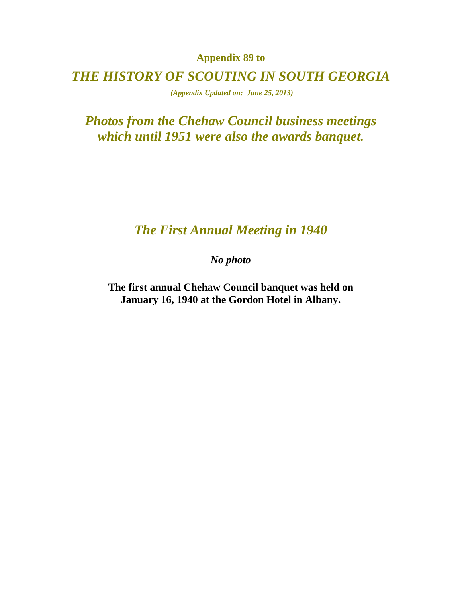**Appendix 89 to** 

*THE HISTORY OF SCOUTING IN SOUTH GEORGIA* 

 *(Appendix Updated on: June 25, 2013)* 

*Photos from the Chehaw Council business meetings which until 1951 were also the awards banquet.* 

#### *The First Annual Meeting in 1940*

*No photo* 

**The first annual Chehaw Council banquet was held on January 16, 1940 at the Gordon Hotel in Albany.**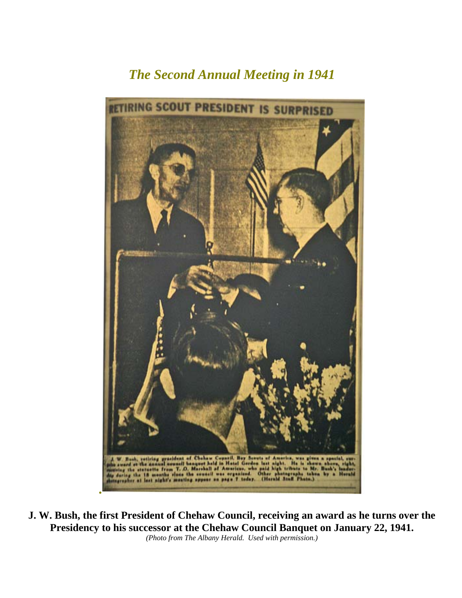# *The Second Annual Meeting in 1941*



**J. W. Bush, the first President of Chehaw Council, receiving an award as he turns over the Presidency to his successor at the Chehaw Council Banquet on January 22, 1941.**  *(Photo from The Albany Herald. Used with permission.)*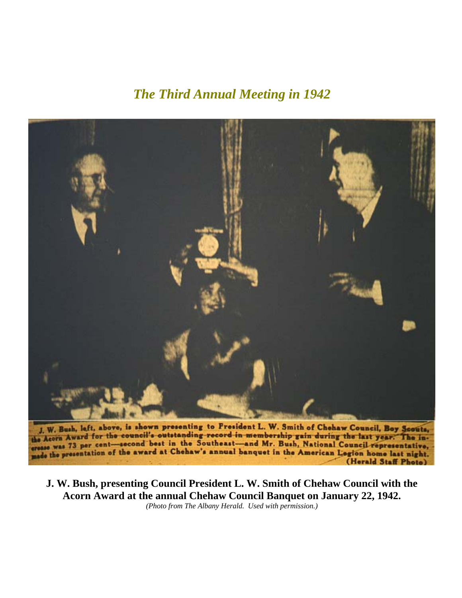### *The Third Annual Meeting in 1942*



J. W. Bush, laft, above, is shown presenting to President L. W. Smith of Chehaw Council, Boy Scouts, the Acorn Award for the council's outstanding record in membership gain during the last year. The inthe Acorn Aware cent-second best in the Southeast-and Mr. Bush, National Council representative, made the presentation of the award at Chehaw's annual banquet in the American Legion home last night. (Herald Staff Photo)

**J. W. Bush, presenting Council President L. W. Smith of Chehaw Council with the Acorn Award at the annual Chehaw Council Banquet on January 22, 1942.**  *(Photo from The Albany Herald. Used with permission.)*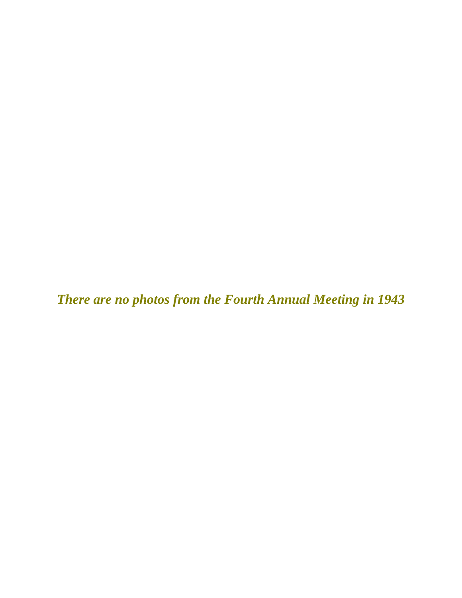*There are no photos from the Fourth Annual Meeting in 1943*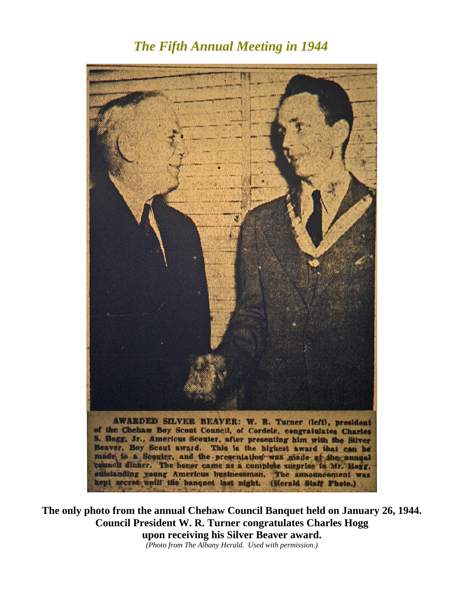#### *The Fifth Annual Meeting in 1944*



**The only photo from the annual Chehaw Council Banquet held on January 26, 1944. Council President W. R. Turner congratulates Charles Hogg upon receiving his Silver Beaver award.** 

*(Photo from The Albany Herald. Used with permission.)*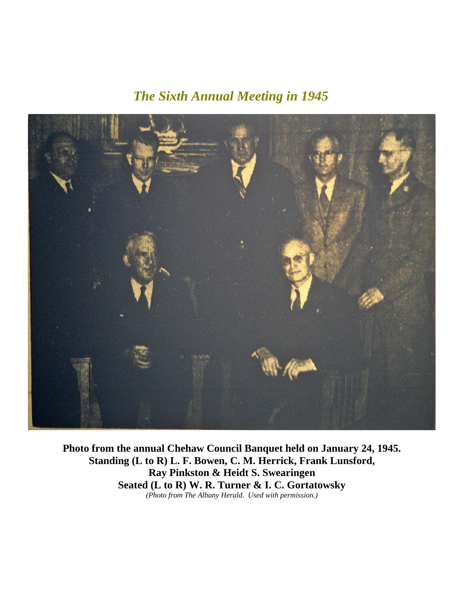## *The Sixth Annual Meeting in 1945*



**Photo from the annual Chehaw Council Banquet held on January 24, 1945. Standing (L to R) L. F. Bowen, C. M. Herrick, Frank Lunsford, Ray Pinkston & Heidt S. Swearingen Seated (L to R) W. R. Turner & I. C. Gortatowsky**  *(Photo from The Albany Herald. Used with permission.)*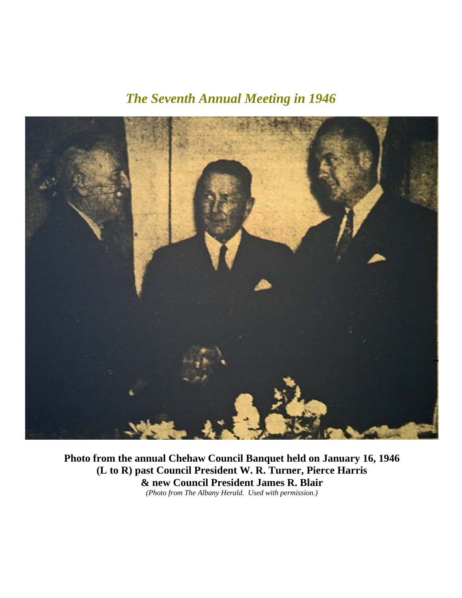# *The Seventh Annual Meeting in 1946*



**Photo from the annual Chehaw Council Banquet held on January 16, 1946 (L to R) past Council President W. R. Turner, Pierce Harris & new Council President James R. Blair**  *(Photo from The Albany Herald. Used with permission.)*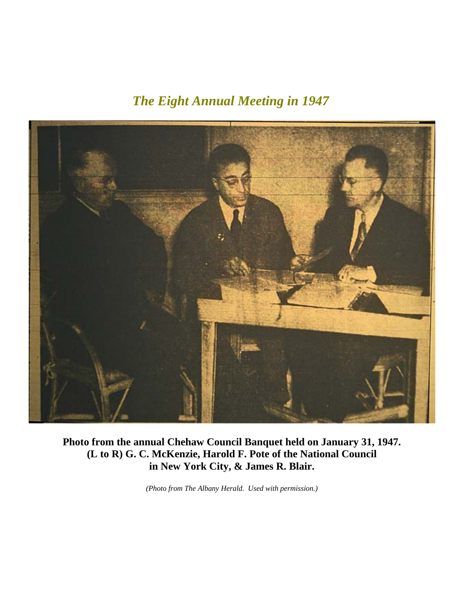### *The Eight Annual Meeting in 1947*



**Photo from the annual Chehaw Council Banquet held on January 31, 1947. (L to R) G. C. McKenzie, Harold F. Pote of the National Council in New York City, & James R. Blair.** 

*(Photo from The Albany Herald. Used with permission.)*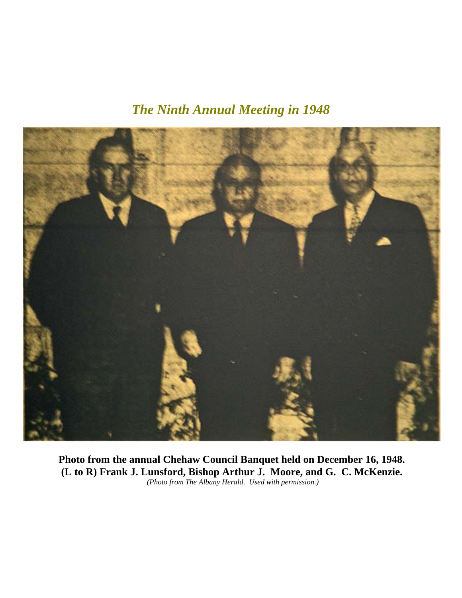*The Ninth Annual Meeting in 1948* 



**Photo from the annual Chehaw Council Banquet held on December 16, 1948. (L to R) Frank J. Lunsford, Bishop Arthur J. Moore, and G. C. McKenzie.**   *(Photo from The Albany Herald. Used with permission.)*